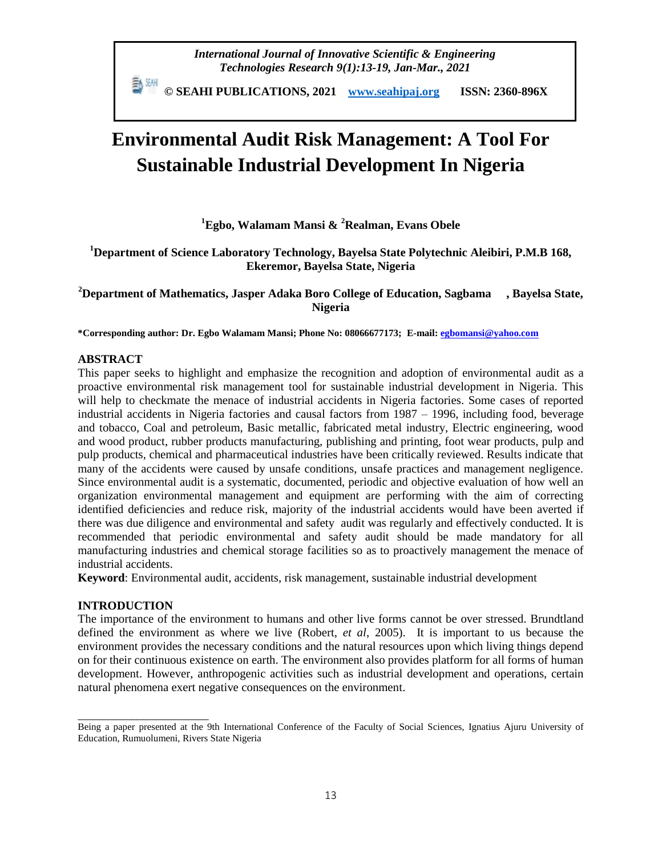*International Journal of Innovative Scientific & Engineering Technologies Research 9(1):13-19, Jan-Mar., 2021*

 **© SEAHI PUBLICATIONS, 2021 [www.seahipaj.org](http://www.seahipaj.org/) ISSN: 2360-896X**

# **Environmental Audit Risk Management: A Tool For Sustainable Industrial Development In Nigeria**

**<sup>1</sup>Egbo, Walamam Mansi & <sup>2</sup>Realman, Evans Obele**

**<sup>1</sup>Department of Science Laboratory Technology, Bayelsa State Polytechnic Aleibiri, P.M.B 168, Ekeremor, Bayelsa State, Nigeria**

**<sup>2</sup>Department of Mathematics, Jasper Adaka Boro College of Education, Sagbama , Bayelsa State, Nigeria**

**\*Corresponding author: Dr. Egbo Walamam Mansi; Phone No: 08066677173; E-mail[: egbomansi@yahoo.com](mailto:egbomansi@yahoo.com)**

#### **ABSTRACT**

This paper seeks to highlight and emphasize the recognition and adoption of environmental audit as a proactive environmental risk management tool for sustainable industrial development in Nigeria. This will help to checkmate the menace of industrial accidents in Nigeria factories. Some cases of reported industrial accidents in Nigeria factories and causal factors from 1987 – 1996, including food, beverage and tobacco, Coal and petroleum, Basic metallic, fabricated metal industry, Electric engineering, wood and wood product, rubber products manufacturing, publishing and printing, foot wear products, pulp and pulp products, chemical and pharmaceutical industries have been critically reviewed. Results indicate that many of the accidents were caused by unsafe conditions, unsafe practices and management negligence. Since environmental audit is a systematic, documented, periodic and objective evaluation of how well an organization environmental management and equipment are performing with the aim of correcting identified deficiencies and reduce risk, majority of the industrial accidents would have been averted if there was due diligence and environmental and safety audit was regularly and effectively conducted. It is recommended that periodic environmental and safety audit should be made mandatory for all manufacturing industries and chemical storage facilities so as to proactively management the menace of industrial accidents.

**Keyword**: Environmental audit, accidents, risk management, sustainable industrial development

## **INTRODUCTION**

\_\_\_\_\_\_\_\_\_\_\_\_\_\_\_\_\_\_\_\_\_\_

The importance of the environment to humans and other live forms cannot be over stressed. Brundtland defined the environment as where we live (Robert, *et al*, 2005). It is important to us because the environment provides the necessary conditions and the natural resources upon which living things depend on for their continuous existence on earth. The environment also provides platform for all forms of human development. However, anthropogenic activities such as industrial development and operations, certain natural phenomena exert negative consequences on the environment.

Being a paper presented at the 9th International Conference of the Faculty of Social Sciences, Ignatius Ajuru University of Education, Rumuolumeni, Rivers State Nigeria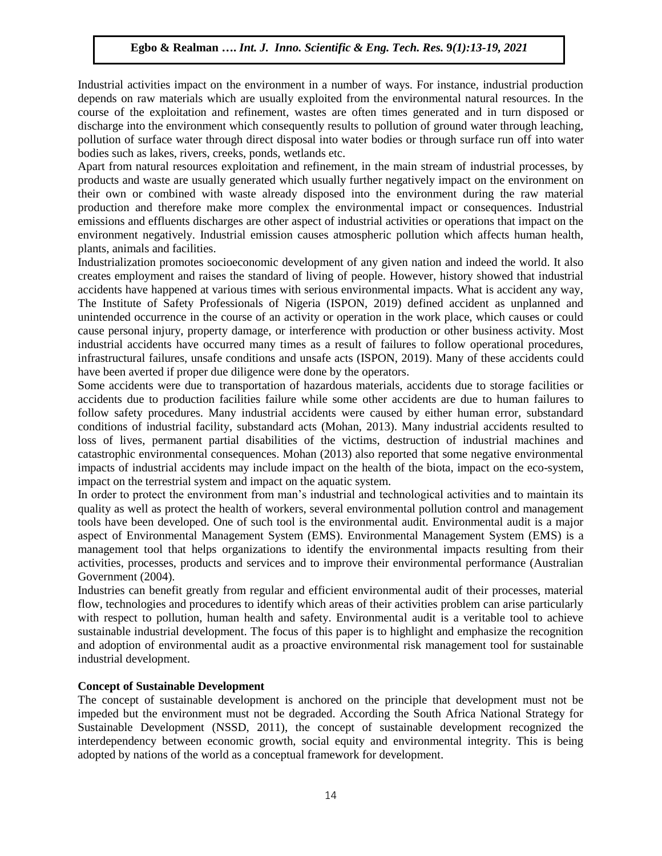Industrial activities impact on the environment in a number of ways. For instance, industrial production depends on raw materials which are usually exploited from the environmental natural resources. In the course of the exploitation and refinement, wastes are often times generated and in turn disposed or discharge into the environment which consequently results to pollution of ground water through leaching, pollution of surface water through direct disposal into water bodies or through surface run off into water bodies such as lakes, rivers, creeks, ponds, wetlands etc.

Apart from natural resources exploitation and refinement, in the main stream of industrial processes, by products and waste are usually generated which usually further negatively impact on the environment on their own or combined with waste already disposed into the environment during the raw material production and therefore make more complex the environmental impact or consequences. Industrial emissions and effluents discharges are other aspect of industrial activities or operations that impact on the environment negatively. Industrial emission causes atmospheric pollution which affects human health, plants, animals and facilities.

Industrialization promotes socioeconomic development of any given nation and indeed the world. It also creates employment and raises the standard of living of people. However, history showed that industrial accidents have happened at various times with serious environmental impacts. What is accident any way, The Institute of Safety Professionals of Nigeria (ISPON, 2019) defined accident as unplanned and unintended occurrence in the course of an activity or operation in the work place, which causes or could cause personal injury, property damage, or interference with production or other business activity. Most industrial accidents have occurred many times as a result of failures to follow operational procedures, infrastructural failures, unsafe conditions and unsafe acts (ISPON, 2019). Many of these accidents could have been averted if proper due diligence were done by the operators.

Some accidents were due to transportation of hazardous materials, accidents due to storage facilities or accidents due to production facilities failure while some other accidents are due to human failures to follow safety procedures. Many industrial accidents were caused by either human error, substandard conditions of industrial facility, substandard acts (Mohan, 2013). Many industrial accidents resulted to loss of lives, permanent partial disabilities of the victims, destruction of industrial machines and catastrophic environmental consequences. Mohan (2013) also reported that some negative environmental impacts of industrial accidents may include impact on the health of the biota, impact on the eco-system, impact on the terrestrial system and impact on the aquatic system.

In order to protect the environment from man's industrial and technological activities and to maintain its quality as well as protect the health of workers, several environmental pollution control and management tools have been developed. One of such tool is the environmental audit. Environmental audit is a major aspect of Environmental Management System (EMS). Environmental Management System (EMS) is a management tool that helps organizations to identify the environmental impacts resulting from their activities, processes, products and services and to improve their environmental performance (Australian Government (2004).

Industries can benefit greatly from regular and efficient environmental audit of their processes, material flow, technologies and procedures to identify which areas of their activities problem can arise particularly with respect to pollution, human health and safety. Environmental audit is a veritable tool to achieve sustainable industrial development. The focus of this paper is to highlight and emphasize the recognition and adoption of environmental audit as a proactive environmental risk management tool for sustainable industrial development.

## **Concept of Sustainable Development**

The concept of sustainable development is anchored on the principle that development must not be impeded but the environment must not be degraded. According the South Africa National Strategy for Sustainable Development (NSSD, 2011), the concept of sustainable development recognized the interdependency between economic growth, social equity and environmental integrity. This is being adopted by nations of the world as a conceptual framework for development.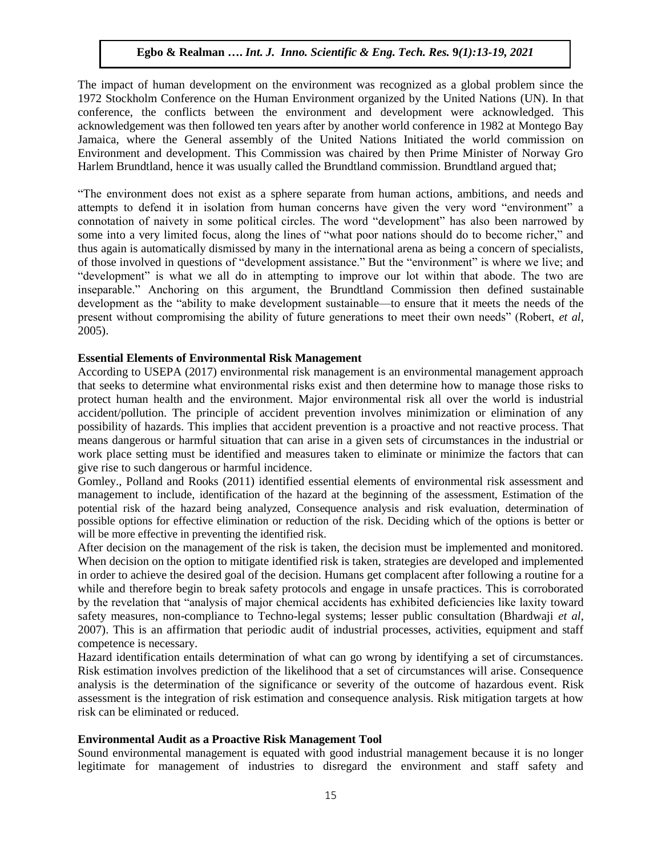The impact of human development on the environment was recognized as a global problem since the 1972 Stockholm Conference on the Human Environment organized by the United Nations (UN). In that conference, the conflicts between the environment and development were acknowledged. This acknowledgement was then followed ten years after by another world conference in 1982 at Montego Bay Jamaica, where the General assembly of the United Nations Initiated the world commission on Environment and development. This Commission was chaired by then Prime Minister of Norway Gro Harlem Brundtland, hence it was usually called the Brundtland commission. Brundtland argued that;

―The environment does not exist as a sphere separate from human actions, ambitions, and needs and attempts to defend it in isolation from human concerns have given the very word "environment" a connotation of naivety in some political circles. The word "development" has also been narrowed by some into a very limited focus, along the lines of "what poor nations should do to become richer," and thus again is automatically dismissed by many in the international arena as being a concern of specialists, of those involved in questions of "development assistance." But the "environment" is where we live; and "development" is what we all do in attempting to improve our lot within that abode. The two are inseparable.‖ Anchoring on this argument, the Brundtland Commission then defined sustainable development as the "ability to make development sustainable—to ensure that it meets the needs of the present without compromising the ability of future generations to meet their own needs" (Robert, *et al*, 2005).

#### **Essential Elements of Environmental Risk Management**

According to USEPA (2017) environmental risk management is an environmental management approach that seeks to determine what environmental risks exist and then determine how to manage those risks to protect human health and the environment. Major environmental risk all over the world is industrial accident/pollution. The principle of accident prevention involves minimization or elimination of any possibility of hazards. This implies that accident prevention is a proactive and not reactive process. That means dangerous or harmful situation that can arise in a given sets of circumstances in the industrial or work place setting must be identified and measures taken to eliminate or minimize the factors that can give rise to such dangerous or harmful incidence.

Gomley., Polland and Rooks (2011) identified essential elements of environmental risk assessment and management to include, identification of the hazard at the beginning of the assessment, Estimation of the potential risk of the hazard being analyzed, Consequence analysis and risk evaluation, determination of possible options for effective elimination or reduction of the risk. Deciding which of the options is better or will be more effective in preventing the identified risk.

After decision on the management of the risk is taken, the decision must be implemented and monitored. When decision on the option to mitigate identified risk is taken, strategies are developed and implemented in order to achieve the desired goal of the decision. Humans get complacent after following a routine for a while and therefore begin to break safety protocols and engage in unsafe practices. This is corroborated by the revelation that "analysis of major chemical accidents has exhibited deficiencies like laxity toward safety measures, non-compliance to Techno-legal systems; lesser public consultation (Bhardwaji *et al*, 2007). This is an affirmation that periodic audit of industrial processes, activities, equipment and staff competence is necessary.

Hazard identification entails determination of what can go wrong by identifying a set of circumstances. Risk estimation involves prediction of the likelihood that a set of circumstances will arise. Consequence analysis is the determination of the significance or severity of the outcome of hazardous event. Risk assessment is the integration of risk estimation and consequence analysis. Risk mitigation targets at how risk can be eliminated or reduced.

#### **Environmental Audit as a Proactive Risk Management Tool**

Sound environmental management is equated with good industrial management because it is no longer legitimate for management of industries to disregard the environment and staff safety and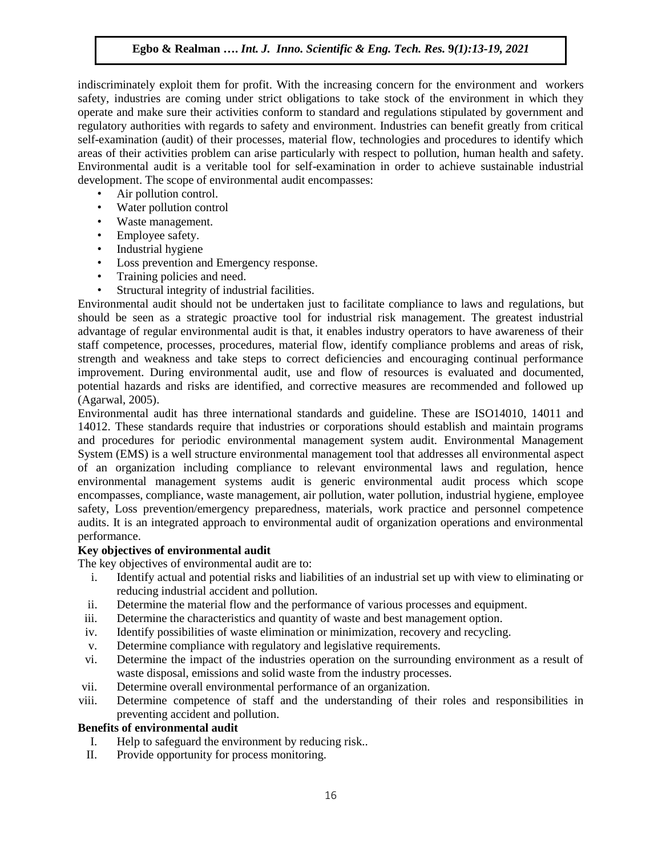indiscriminately exploit them for profit. With the increasing concern for the environment and workers safety, industries are coming under strict obligations to take stock of the environment in which they operate and make sure their activities conform to standard and regulations stipulated by government and regulatory authorities with regards to safety and environment. Industries can benefit greatly from critical self-examination (audit) of their processes, material flow, technologies and procedures to identify which areas of their activities problem can arise particularly with respect to pollution, human health and safety. Environmental audit is a veritable tool for self-examination in order to achieve sustainable industrial development. The scope of environmental audit encompasses:

- Air pollution control.
- Water pollution control
- Waste management.
- Employee safety.
- Industrial hygiene
- Loss prevention and Emergency response.
- Training policies and need.
- Structural integrity of industrial facilities.

Environmental audit should not be undertaken just to facilitate compliance to laws and regulations, but should be seen as a strategic proactive tool for industrial risk management. The greatest industrial advantage of regular environmental audit is that, it enables industry operators to have awareness of their staff competence, processes, procedures, material flow, identify compliance problems and areas of risk, strength and weakness and take steps to correct deficiencies and encouraging continual performance improvement. During environmental audit, use and flow of resources is evaluated and documented, potential hazards and risks are identified, and corrective measures are recommended and followed up (Agarwal, 2005).

Environmental audit has three international standards and guideline. These are ISO14010, 14011 and 14012. These standards require that industries or corporations should establish and maintain programs and procedures for periodic environmental management system audit. Environmental Management System (EMS) is a well structure environmental management tool that addresses all environmental aspect of an organization including compliance to relevant environmental laws and regulation, hence environmental management systems audit is generic environmental audit process which scope encompasses, compliance, waste management, air pollution, water pollution, industrial hygiene, employee safety, Loss prevention/emergency preparedness, materials, work practice and personnel competence audits. It is an integrated approach to environmental audit of organization operations and environmental performance.

## **Key objectives of environmental audit**

The key objectives of environmental audit are to:

- i. Identify actual and potential risks and liabilities of an industrial set up with view to eliminating or reducing industrial accident and pollution.
- ii. Determine the material flow and the performance of various processes and equipment.
- iii. Determine the characteristics and quantity of waste and best management option.
- iv. Identify possibilities of waste elimination or minimization, recovery and recycling.
- v. Determine compliance with regulatory and legislative requirements.
- vi. Determine the impact of the industries operation on the surrounding environment as a result of waste disposal, emissions and solid waste from the industry processes.
- vii. Determine overall environmental performance of an organization.
- viii. Determine competence of staff and the understanding of their roles and responsibilities in preventing accident and pollution.

## **Benefits of environmental audit**

- I. Help to safeguard the environment by reducing risk..
- II. Provide opportunity for process monitoring.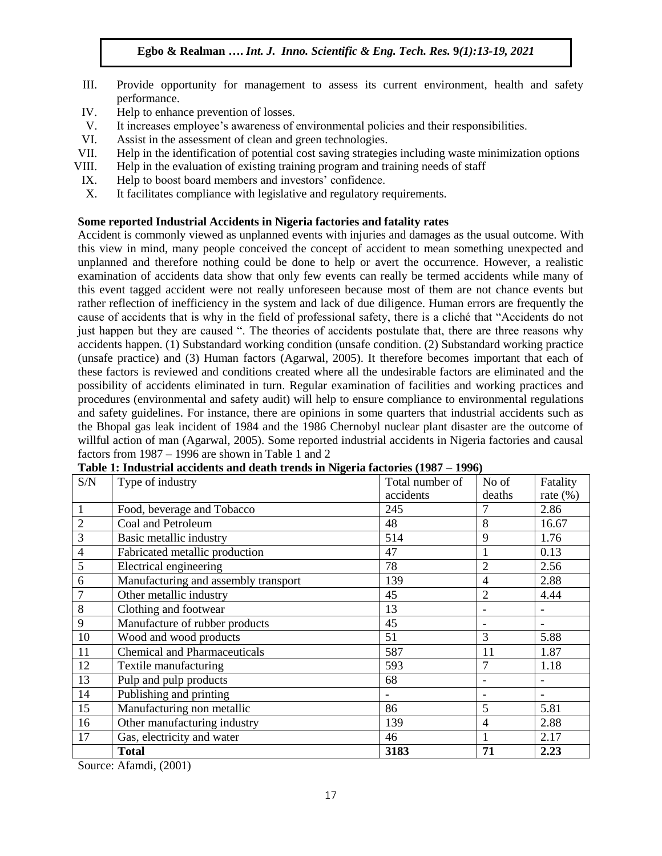- III. Provide opportunity for management to assess its current environment, health and safety performance.
- IV. Help to enhance prevention of losses.
- V. It increases employee's awareness of environmental policies and their responsibilities.
- VI. Assist in the assessment of clean and green technologies.
- VII. Help in the identification of potential cost saving strategies including waste minimization options
- VIII. Help in the evaluation of existing training program and training needs of staff
- IX. Help to boost board members and investors' confidence.
- X. It facilitates compliance with legislative and regulatory requirements.

#### **Some reported Industrial Accidents in Nigeria factories and fatality rates**

Accident is commonly viewed as unplanned events with injuries and damages as the usual outcome. With this view in mind, many people conceived the concept of accident to mean something unexpected and unplanned and therefore nothing could be done to help or avert the occurrence. However, a realistic examination of accidents data show that only few events can really be termed accidents while many of this event tagged accident were not really unforeseen because most of them are not chance events but rather reflection of inefficiency in the system and lack of due diligence. Human errors are frequently the cause of accidents that is why in the field of professional safety, there is a cliché that "Accidents do not just happen but they are caused ". The theories of accidents postulate that, there are three reasons why accidents happen. (1) Substandard working condition (unsafe condition. (2) Substandard working practice (unsafe practice) and (3) Human factors (Agarwal, 2005). It therefore becomes important that each of these factors is reviewed and conditions created where all the undesirable factors are eliminated and the possibility of accidents eliminated in turn. Regular examination of facilities and working practices and procedures (environmental and safety audit) will help to ensure compliance to environmental regulations and safety guidelines. For instance, there are opinions in some quarters that industrial accidents such as the Bhopal gas leak incident of 1984 and the 1986 Chernobyl nuclear plant disaster are the outcome of willful action of man (Agarwal, 2005). Some reported industrial accidents in Nigeria factories and causal factors from 1987 – 1996 are shown in Table 1 and 2

| S/N            | Type of industry                     | Total number of | No of                    | Fatality                 |
|----------------|--------------------------------------|-----------------|--------------------------|--------------------------|
|                |                                      | accidents       | deaths                   | rate $(\%)$              |
|                | Food, beverage and Tobacco           | 245             | 7                        | 2.86                     |
| $\overline{2}$ | Coal and Petroleum                   | 48              | 8                        | 16.67                    |
| 3              | Basic metallic industry              | 514             | 9                        | 1.76                     |
| $\overline{4}$ | Fabricated metallic production       | 47              |                          | 0.13                     |
| 5              | Electrical engineering               | 78              | $\overline{2}$           | 2.56                     |
| 6              | Manufacturing and assembly transport | 139             | $\overline{4}$           | 2.88                     |
|                | Other metallic industry              | 45              | $\overline{2}$           | 4.44                     |
| 8              | Clothing and footwear                | 13              |                          | $\overline{\phantom{a}}$ |
| 9              | Manufacture of rubber products       | 45              |                          | $\overline{\phantom{a}}$ |
| 10             | Wood and wood products               | 51              | 3                        | 5.88                     |
| 11             | <b>Chemical and Pharmaceuticals</b>  | 587             | 11                       | 1.87                     |
| 12             | Textile manufacturing                | 593             | $\overline{7}$           | 1.18                     |
| 13             | Pulp and pulp products               | 68              | $\overline{\phantom{0}}$ |                          |
| 14             | Publishing and printing              |                 |                          |                          |
| 15             | Manufacturing non metallic           | 86              | 5                        | 5.81                     |
| 16             | Other manufacturing industry         | 139             | $\overline{4}$           | 2.88                     |
| 17             | Gas, electricity and water           | 46              |                          | 2.17                     |
|                | <b>Total</b>                         | 3183            | 71                       | 2.23                     |

| Table 1: Industrial accidents and death trends in Nigeria factories (1987 – 1996) |  |  |
|-----------------------------------------------------------------------------------|--|--|
|                                                                                   |  |  |

Source: Afamdi, (2001)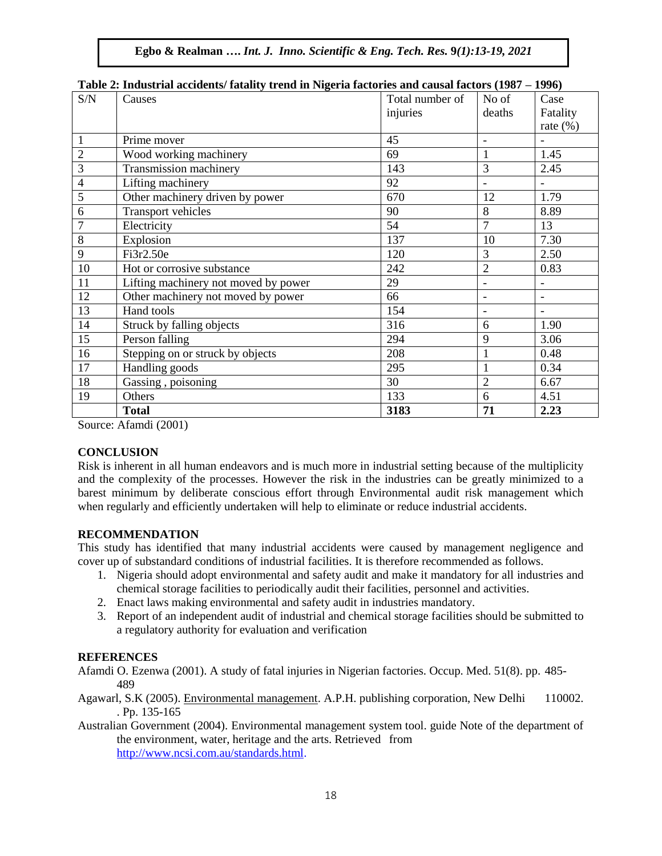| S/N            | Causes                               | Total number of | No of                    | Case                     |
|----------------|--------------------------------------|-----------------|--------------------------|--------------------------|
|                |                                      | injuries        | deaths                   | Fatality                 |
|                |                                      |                 |                          | rate $(\%)$              |
| 1              | Prime mover                          | 45              |                          |                          |
| $\overline{2}$ | Wood working machinery               | 69              | $\mathbf{1}$             | 1.45                     |
| 3              | Transmission machinery               | 143             | 3                        | 2.45                     |
| 4              | Lifting machinery                    | 92              |                          |                          |
| 5              | Other machinery driven by power      | 670             | 12                       | 1.79                     |
| 6              | Transport vehicles                   | 90              | 8                        | 8.89                     |
| $\overline{7}$ | Electricity                          | 54              | $\overline{7}$           | 13                       |
| 8              | Explosion                            | 137             | 10                       | 7.30                     |
| 9              | Fi3r2.50e                            | 120             | 3                        | 2.50                     |
| 10             | Hot or corrosive substance           | 242             | $\overline{2}$           | 0.83                     |
| 11             | Lifting machinery not moved by power | 29              | $\overline{\phantom{a}}$ | $\blacksquare$           |
| 12             | Other machinery not moved by power   | 66              | $\overline{\phantom{a}}$ | $\overline{\phantom{a}}$ |
| 13             | Hand tools                           | 154             | $\overline{\phantom{a}}$ | $\overline{\phantom{a}}$ |
| 14             | Struck by falling objects            | 316             | 6                        | 1.90                     |
| 15             | Person falling                       | 294             | 9                        | 3.06                     |
| 16             | Stepping on or struck by objects     | 208             | $\mathbf{1}$             | 0.48                     |
| 17             | Handling goods                       | 295             | $\mathbf{1}$             | 0.34                     |
| 18             | Gassing, poisoning                   | 30              | $\overline{2}$           | 6.67                     |
| 19             | Others                               | 133             | 6                        | 4.51                     |
|                | <b>Total</b>                         | 3183            | 71                       | 2.23                     |

#### **Table 2: Industrial accidents/ fatality trend in Nigeria factories and causal factors (1987 – 1996)**

Source: Afamdi (2001)

## **CONCLUSION**

Risk is inherent in all human endeavors and is much more in industrial setting because of the multiplicity and the complexity of the processes. However the risk in the industries can be greatly minimized to a barest minimum by deliberate conscious effort through Environmental audit risk management which when regularly and efficiently undertaken will help to eliminate or reduce industrial accidents.

## **RECOMMENDATION**

This study has identified that many industrial accidents were caused by management negligence and cover up of substandard conditions of industrial facilities. It is therefore recommended as follows.

- 1. Nigeria should adopt environmental and safety audit and make it mandatory for all industries and chemical storage facilities to periodically audit their facilities, personnel and activities.
- 2. Enact laws making environmental and safety audit in industries mandatory.
- 3. Report of an independent audit of industrial and chemical storage facilities should be submitted to a regulatory authority for evaluation and verification

# **REFERENCES**

Afamdi O. Ezenwa (2001). A study of fatal injuries in Nigerian factories. Occup. Med. 51(8). pp. 485- 489

Agawarl, S.K (2005). Environmental management. A.P.H. publishing corporation, New Delhi 110002. . Pp. 135-165

Australian Government (2004). Environmental management system tool. guide Note of the department of the environment, water, heritage and the arts. Retrieved from [http://www.ncsi.com.au/standards.html.](http://www.ncsi.com.au/standards.html)